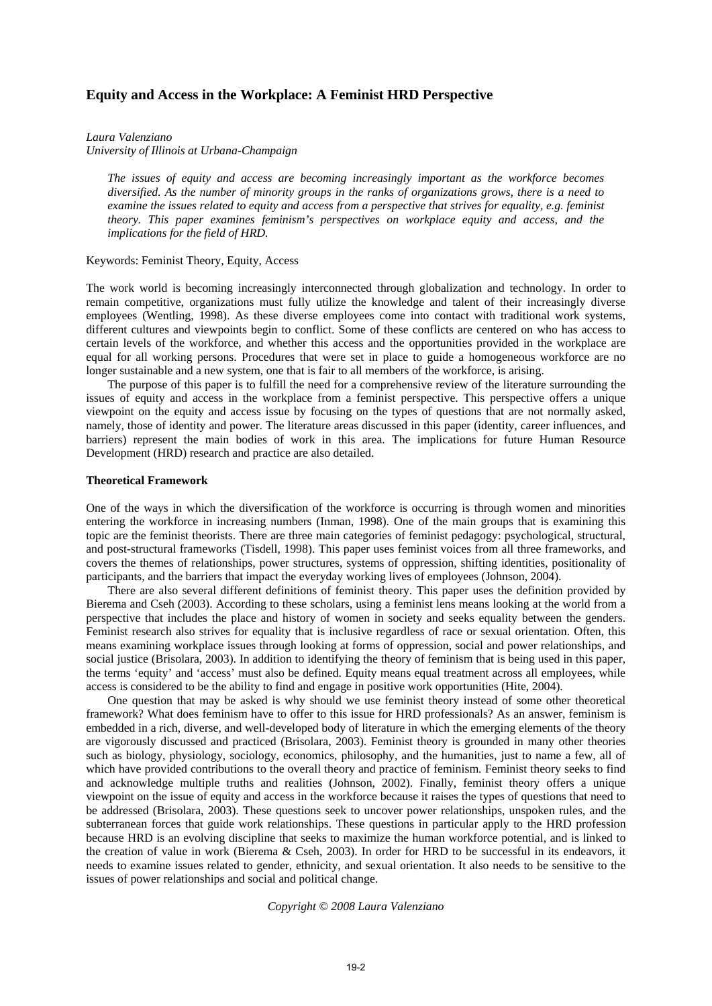# **Equity and Access in the Workplace: A Feminist HRD Perspective**

*Laura Valenziano* 

*University of Illinois at Urbana-Champaign* 

*The issues of equity and access are becoming increasingly important as the workforce becomes diversified. As the number of minority groups in the ranks of organizations grows, there is a need to examine the issues related to equity and access from a perspective that strives for equality, e.g. feminist theory. This paper examines feminism's perspectives on workplace equity and access, and the implications for the field of HRD.*

### Keywords: Feminist Theory, Equity, Access

The work world is becoming increasingly interconnected through globalization and technology. In order to remain competitive, organizations must fully utilize the knowledge and talent of their increasingly diverse employees (Wentling, 1998). As these diverse employees come into contact with traditional work systems, different cultures and viewpoints begin to conflict. Some of these conflicts are centered on who has access to certain levels of the workforce, and whether this access and the opportunities provided in the workplace are equal for all working persons. Procedures that were set in place to guide a homogeneous workforce are no longer sustainable and a new system, one that is fair to all members of the workforce, is arising.

The purpose of this paper is to fulfill the need for a comprehensive review of the literature surrounding the issues of equity and access in the workplace from a feminist perspective. This perspective offers a unique viewpoint on the equity and access issue by focusing on the types of questions that are not normally asked, namely, those of identity and power. The literature areas discussed in this paper (identity, career influences, and barriers) represent the main bodies of work in this area. The implications for future Human Resource Development (HRD) research and practice are also detailed.

# **Theoretical Framework**

One of the ways in which the diversification of the workforce is occurring is through women and minorities entering the workforce in increasing numbers (Inman, 1998). One of the main groups that is examining this topic are the feminist theorists. There are three main categories of feminist pedagogy: psychological, structural, and post-structural frameworks (Tisdell, 1998). This paper uses feminist voices from all three frameworks, and covers the themes of relationships, power structures, systems of oppression, shifting identities, positionality of participants, and the barriers that impact the everyday working lives of employees (Johnson, 2004).

There are also several different definitions of feminist theory. This paper uses the definition provided by Bierema and Cseh (2003). According to these scholars, using a feminist lens means looking at the world from a perspective that includes the place and history of women in society and seeks equality between the genders. Feminist research also strives for equality that is inclusive regardless of race or sexual orientation. Often, this means examining workplace issues through looking at forms of oppression, social and power relationships, and social justice (Brisolara, 2003). In addition to identifying the theory of feminism that is being used in this paper, the terms 'equity' and 'access' must also be defined. Equity means equal treatment across all employees, while access is considered to be the ability to find and engage in positive work opportunities (Hite, 2004).

One question that may be asked is why should we use feminist theory instead of some other theoretical framework? What does feminism have to offer to this issue for HRD professionals? As an answer, feminism is embedded in a rich, diverse, and well-developed body of literature in which the emerging elements of the theory are vigorously discussed and practiced (Brisolara, 2003). Feminist theory is grounded in many other theories such as biology, physiology, sociology, economics, philosophy, and the humanities, just to name a few, all of which have provided contributions to the overall theory and practice of feminism. Feminist theory seeks to find and acknowledge multiple truths and realities (Johnson, 2002). Finally, feminist theory offers a unique viewpoint on the issue of equity and access in the workforce because it raises the types of questions that need to be addressed (Brisolara, 2003). These questions seek to uncover power relationships, unspoken rules, and the subterranean forces that guide work relationships. These questions in particular apply to the HRD profession because HRD is an evolving discipline that seeks to maximize the human workforce potential, and is linked to the creation of value in work (Bierema & Cseh, 2003). In order for HRD to be successful in its endeavors, it needs to examine issues related to gender, ethnicity, and sexual orientation. It also needs to be sensitive to the issues of power relationships and social and political change.

### *Copyright © 2008 Laura Valenziano*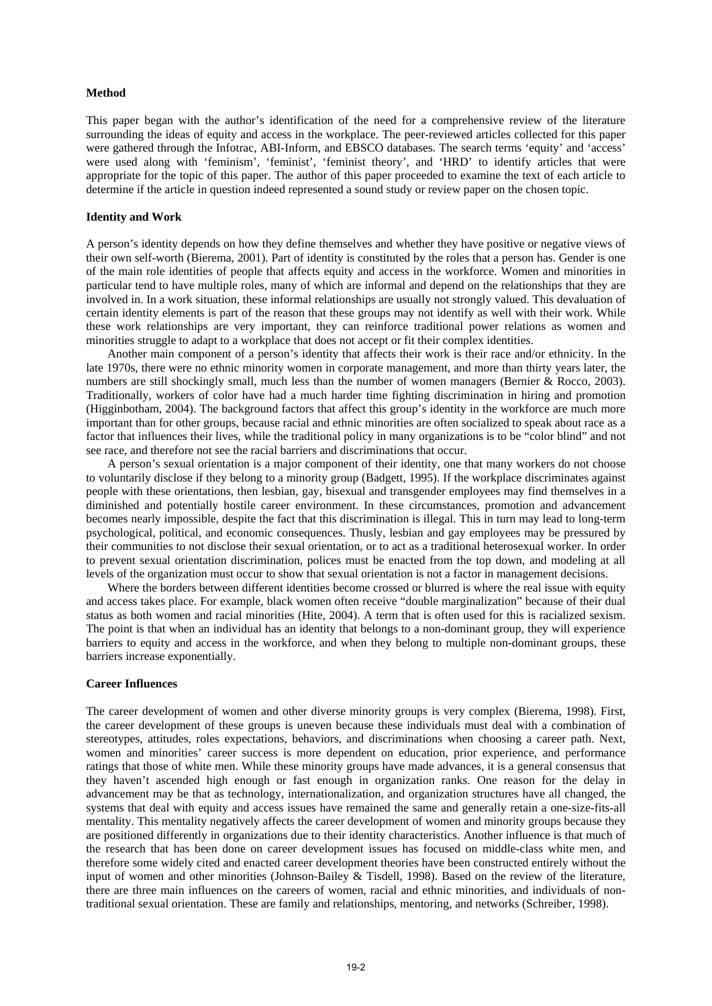### **Method**

This paper began with the author's identification of the need for a comprehensive review of the literature surrounding the ideas of equity and access in the workplace. The peer-reviewed articles collected for this paper were gathered through the Infotrac, ABI-Inform, and EBSCO databases. The search terms 'equity' and 'access' were used along with 'feminism', 'feminist', 'feminist theory', and 'HRD' to identify articles that were appropriate for the topic of this paper. The author of this paper proceeded to examine the text of each article to determine if the article in question indeed represented a sound study or review paper on the chosen topic.

# **Identity and Work**

A person's identity depends on how they define themselves and whether they have positive or negative views of their own self-worth (Bierema, 2001). Part of identity is constituted by the roles that a person has. Gender is one of the main role identities of people that affects equity and access in the workforce. Women and minorities in particular tend to have multiple roles, many of which are informal and depend on the relationships that they are involved in. In a work situation, these informal relationships are usually not strongly valued. This devaluation of certain identity elements is part of the reason that these groups may not identify as well with their work. While these work relationships are very important, they can reinforce traditional power relations as women and minorities struggle to adapt to a workplace that does not accept or fit their complex identities.

Another main component of a person's identity that affects their work is their race and/or ethnicity. In the late 1970s, there were no ethnic minority women in corporate management, and more than thirty years later, the numbers are still shockingly small, much less than the number of women managers (Bernier & Rocco, 2003). Traditionally, workers of color have had a much harder time fighting discrimination in hiring and promotion (Higginbotham, 2004). The background factors that affect this group's identity in the workforce are much more important than for other groups, because racial and ethnic minorities are often socialized to speak about race as a factor that influences their lives, while the traditional policy in many organizations is to be "color blind" and not see race, and therefore not see the racial barriers and discriminations that occur.

A person's sexual orientation is a major component of their identity, one that many workers do not choose to voluntarily disclose if they belong to a minority group (Badgett, 1995). If the workplace discriminates against people with these orientations, then lesbian, gay, bisexual and transgender employees may find themselves in a diminished and potentially hostile career environment. In these circumstances, promotion and advancement becomes nearly impossible, despite the fact that this discrimination is illegal. This in turn may lead to long-term psychological, political, and economic consequences. Thusly, lesbian and gay employees may be pressured by their communities to not disclose their sexual orientation, or to act as a traditional heterosexual worker. In order to prevent sexual orientation discrimination, polices must be enacted from the top down, and modeling at all levels of the organization must occur to show that sexual orientation is not a factor in management decisions.

Where the borders between different identities become crossed or blurred is where the real issue with equity and access takes place. For example, black women often receive "double marginalization" because of their dual status as both women and racial minorities (Hite, 2004). A term that is often used for this is racialized sexism. The point is that when an individual has an identity that belongs to a non-dominant group, they will experience barriers to equity and access in the workforce, and when they belong to multiple non-dominant groups, these barriers increase exponentially.

### **Career Influences**

The career development of women and other diverse minority groups is very complex (Bierema, 1998). First, the career development of these groups is uneven because these individuals must deal with a combination of stereotypes, attitudes, roles expectations, behaviors, and discriminations when choosing a career path. Next, women and minorities' career success is more dependent on education, prior experience, and performance ratings that those of white men. While these minority groups have made advances, it is a general consensus that they haven't ascended high enough or fast enough in organization ranks. One reason for the delay in advancement may be that as technology, internationalization, and organization structures have all changed, the systems that deal with equity and access issues have remained the same and generally retain a one-size-fits-all mentality. This mentality negatively affects the career development of women and minority groups because they are positioned differently in organizations due to their identity characteristics. Another influence is that much of the research that has been done on career development issues has focused on middle-class white men, and therefore some widely cited and enacted career development theories have been constructed entirely without the input of women and other minorities (Johnson-Bailey & Tisdell, 1998). Based on the review of the literature, there are three main influences on the careers of women, racial and ethnic minorities, and individuals of nontraditional sexual orientation. These are family and relationships, mentoring, and networks (Schreiber, 1998).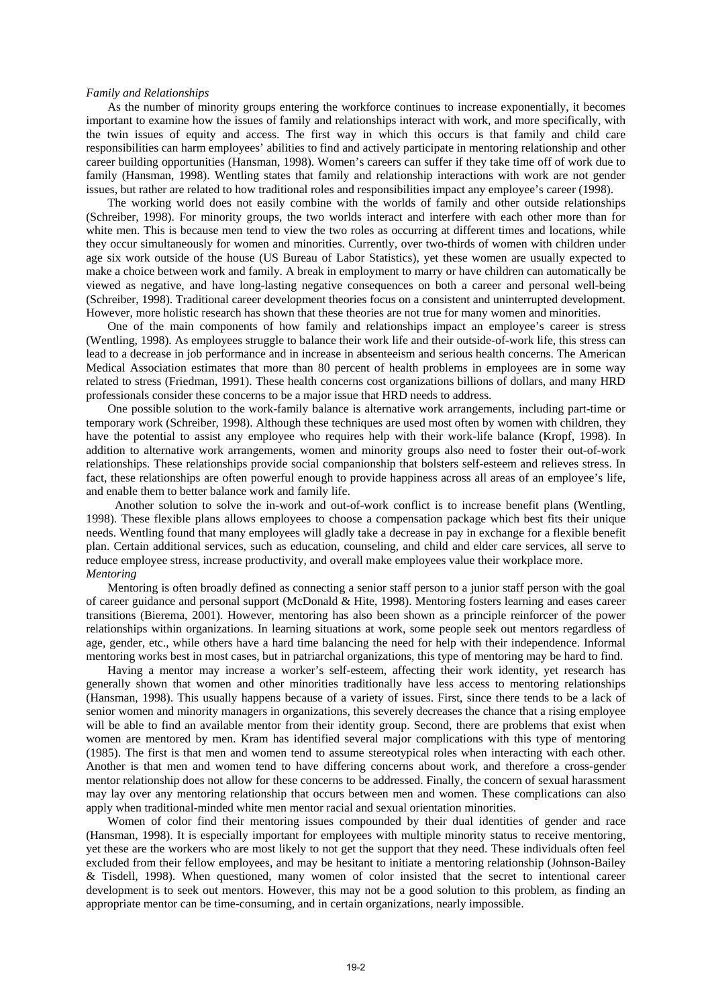#### *Family and Relationships*

As the number of minority groups entering the workforce continues to increase exponentially, it becomes important to examine how the issues of family and relationships interact with work, and more specifically, with the twin issues of equity and access. The first way in which this occurs is that family and child care responsibilities can harm employees' abilities to find and actively participate in mentoring relationship and other career building opportunities (Hansman, 1998). Women's careers can suffer if they take time off of work due to family (Hansman, 1998). Wentling states that family and relationship interactions with work are not gender issues, but rather are related to how traditional roles and responsibilities impact any employee's career (1998).

The working world does not easily combine with the worlds of family and other outside relationships (Schreiber, 1998). For minority groups, the two worlds interact and interfere with each other more than for white men. This is because men tend to view the two roles as occurring at different times and locations, while they occur simultaneously for women and minorities. Currently, over two-thirds of women with children under age six work outside of the house (US Bureau of Labor Statistics), yet these women are usually expected to make a choice between work and family. A break in employment to marry or have children can automatically be viewed as negative, and have long-lasting negative consequences on both a career and personal well-being (Schreiber, 1998). Traditional career development theories focus on a consistent and uninterrupted development. However, more holistic research has shown that these theories are not true for many women and minorities.

One of the main components of how family and relationships impact an employee's career is stress (Wentling, 1998). As employees struggle to balance their work life and their outside-of-work life, this stress can lead to a decrease in job performance and in increase in absenteeism and serious health concerns. The American Medical Association estimates that more than 80 percent of health problems in employees are in some way related to stress (Friedman, 1991). These health concerns cost organizations billions of dollars, and many HRD professionals consider these concerns to be a major issue that HRD needs to address.

One possible solution to the work-family balance is alternative work arrangements, including part-time or temporary work (Schreiber, 1998). Although these techniques are used most often by women with children, they have the potential to assist any employee who requires help with their work-life balance (Kropf, 1998). In addition to alternative work arrangements, women and minority groups also need to foster their out-of-work relationships. These relationships provide social companionship that bolsters self-esteem and relieves stress. In fact, these relationships are often powerful enough to provide happiness across all areas of an employee's life, and enable them to better balance work and family life.

Another solution to solve the in-work and out-of-work conflict is to increase benefit plans (Wentling, 1998). These flexible plans allows employees to choose a compensation package which best fits their unique needs. Wentling found that many employees will gladly take a decrease in pay in exchange for a flexible benefit plan. Certain additional services, such as education, counseling, and child and elder care services, all serve to reduce employee stress, increase productivity, and overall make employees value their workplace more. *Mentoring* 

Mentoring is often broadly defined as connecting a senior staff person to a junior staff person with the goal of career guidance and personal support (McDonald & Hite, 1998). Mentoring fosters learning and eases career transitions (Bierema, 2001). However, mentoring has also been shown as a principle reinforcer of the power relationships within organizations. In learning situations at work, some people seek out mentors regardless of age, gender, etc., while others have a hard time balancing the need for help with their independence. Informal mentoring works best in most cases, but in patriarchal organizations, this type of mentoring may be hard to find.

Having a mentor may increase a worker's self-esteem, affecting their work identity, yet research has generally shown that women and other minorities traditionally have less access to mentoring relationships (Hansman, 1998). This usually happens because of a variety of issues. First, since there tends to be a lack of senior women and minority managers in organizations, this severely decreases the chance that a rising employee will be able to find an available mentor from their identity group. Second, there are problems that exist when women are mentored by men. Kram has identified several major complications with this type of mentoring (1985). The first is that men and women tend to assume stereotypical roles when interacting with each other. Another is that men and women tend to have differing concerns about work, and therefore a cross-gender mentor relationship does not allow for these concerns to be addressed. Finally, the concern of sexual harassment may lay over any mentoring relationship that occurs between men and women. These complications can also apply when traditional-minded white men mentor racial and sexual orientation minorities.

Women of color find their mentoring issues compounded by their dual identities of gender and race (Hansman, 1998). It is especially important for employees with multiple minority status to receive mentoring, yet these are the workers who are most likely to not get the support that they need. These individuals often feel excluded from their fellow employees, and may be hesitant to initiate a mentoring relationship (Johnson-Bailey & Tisdell, 1998). When questioned, many women of color insisted that the secret to intentional career development is to seek out mentors. However, this may not be a good solution to this problem, as finding an appropriate mentor can be time-consuming, and in certain organizations, nearly impossible.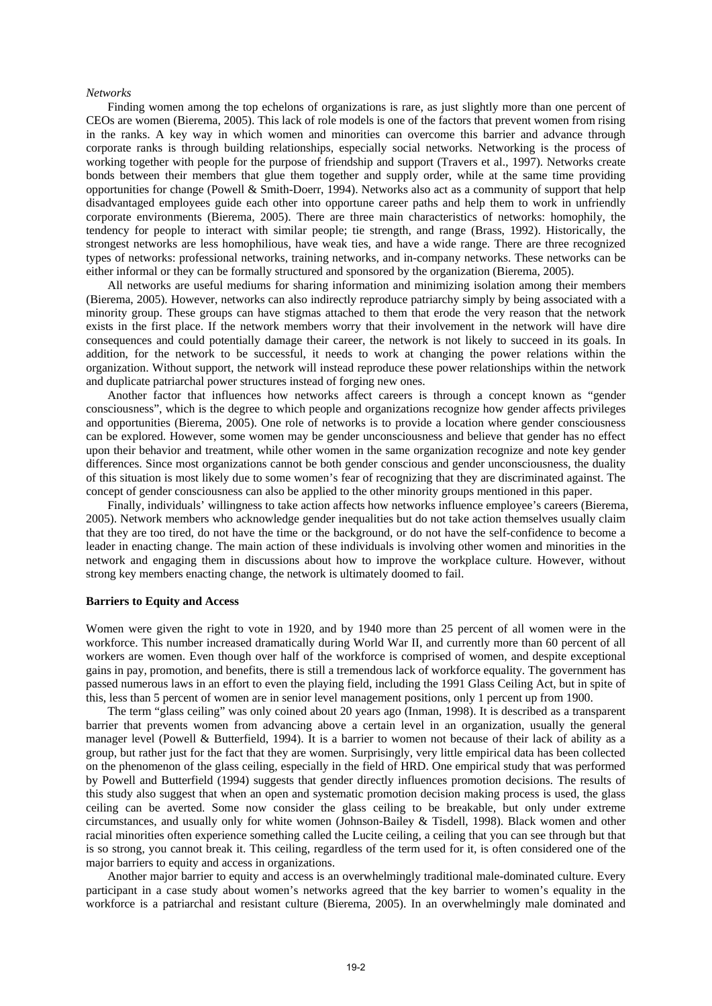#### *Networks*

Finding women among the top echelons of organizations is rare, as just slightly more than one percent of CEOs are women (Bierema, 2005). This lack of role models is one of the factors that prevent women from rising in the ranks. A key way in which women and minorities can overcome this barrier and advance through corporate ranks is through building relationships, especially social networks. Networking is the process of working together with people for the purpose of friendship and support (Travers et al., 1997). Networks create bonds between their members that glue them together and supply order, while at the same time providing opportunities for change (Powell & Smith-Doerr, 1994). Networks also act as a community of support that help disadvantaged employees guide each other into opportune career paths and help them to work in unfriendly corporate environments (Bierema, 2005). There are three main characteristics of networks: homophily, the tendency for people to interact with similar people; tie strength, and range (Brass, 1992). Historically, the strongest networks are less homophilious, have weak ties, and have a wide range. There are three recognized types of networks: professional networks, training networks, and in-company networks. These networks can be either informal or they can be formally structured and sponsored by the organization (Bierema, 2005).

All networks are useful mediums for sharing information and minimizing isolation among their members (Bierema, 2005). However, networks can also indirectly reproduce patriarchy simply by being associated with a minority group. These groups can have stigmas attached to them that erode the very reason that the network exists in the first place. If the network members worry that their involvement in the network will have dire consequences and could potentially damage their career, the network is not likely to succeed in its goals. In addition, for the network to be successful, it needs to work at changing the power relations within the organization. Without support, the network will instead reproduce these power relationships within the network and duplicate patriarchal power structures instead of forging new ones.

Another factor that influences how networks affect careers is through a concept known as "gender consciousness", which is the degree to which people and organizations recognize how gender affects privileges and opportunities (Bierema, 2005). One role of networks is to provide a location where gender consciousness can be explored. However, some women may be gender unconsciousness and believe that gender has no effect upon their behavior and treatment, while other women in the same organization recognize and note key gender differences. Since most organizations cannot be both gender conscious and gender unconsciousness, the duality of this situation is most likely due to some women's fear of recognizing that they are discriminated against. The concept of gender consciousness can also be applied to the other minority groups mentioned in this paper.

Finally, individuals' willingness to take action affects how networks influence employee's careers (Bierema, 2005). Network members who acknowledge gender inequalities but do not take action themselves usually claim that they are too tired, do not have the time or the background, or do not have the self-confidence to become a leader in enacting change. The main action of these individuals is involving other women and minorities in the network and engaging them in discussions about how to improve the workplace culture. However, without strong key members enacting change, the network is ultimately doomed to fail.

### **Barriers to Equity and Access**

Women were given the right to vote in 1920, and by 1940 more than 25 percent of all women were in the workforce. This number increased dramatically during World War II, and currently more than 60 percent of all workers are women. Even though over half of the workforce is comprised of women, and despite exceptional gains in pay, promotion, and benefits, there is still a tremendous lack of workforce equality. The government has passed numerous laws in an effort to even the playing field, including the 1991 Glass Ceiling Act, but in spite of this, less than 5 percent of women are in senior level management positions, only 1 percent up from 1900.

The term "glass ceiling" was only coined about 20 years ago (Inman, 1998). It is described as a transparent barrier that prevents women from advancing above a certain level in an organization, usually the general manager level (Powell & Butterfield, 1994). It is a barrier to women not because of their lack of ability as a group, but rather just for the fact that they are women. Surprisingly, very little empirical data has been collected on the phenomenon of the glass ceiling, especially in the field of HRD. One empirical study that was performed by Powell and Butterfield (1994) suggests that gender directly influences promotion decisions. The results of this study also suggest that when an open and systematic promotion decision making process is used, the glass ceiling can be averted. Some now consider the glass ceiling to be breakable, but only under extreme circumstances, and usually only for white women (Johnson-Bailey & Tisdell, 1998). Black women and other racial minorities often experience something called the Lucite ceiling, a ceiling that you can see through but that is so strong, you cannot break it. This ceiling, regardless of the term used for it, is often considered one of the major barriers to equity and access in organizations.

Another major barrier to equity and access is an overwhelmingly traditional male-dominated culture. Every participant in a case study about women's networks agreed that the key barrier to women's equality in the workforce is a patriarchal and resistant culture (Bierema, 2005). In an overwhelmingly male dominated and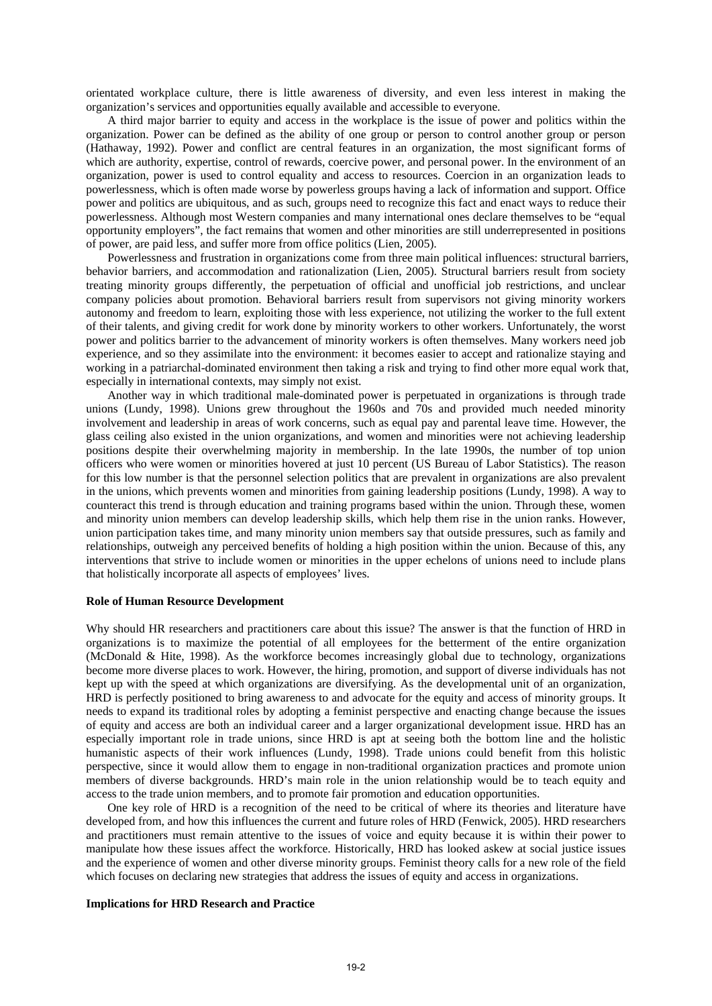orientated workplace culture, there is little awareness of diversity, and even less interest in making the organization's services and opportunities equally available and accessible to everyone.

A third major barrier to equity and access in the workplace is the issue of power and politics within the organization. Power can be defined as the ability of one group or person to control another group or person (Hathaway, 1992). Power and conflict are central features in an organization, the most significant forms of which are authority, expertise, control of rewards, coercive power, and personal power. In the environment of an organization, power is used to control equality and access to resources. Coercion in an organization leads to powerlessness, which is often made worse by powerless groups having a lack of information and support. Office power and politics are ubiquitous, and as such, groups need to recognize this fact and enact ways to reduce their powerlessness. Although most Western companies and many international ones declare themselves to be "equal opportunity employers", the fact remains that women and other minorities are still underrepresented in positions of power, are paid less, and suffer more from office politics (Lien, 2005).

Powerlessness and frustration in organizations come from three main political influences: structural barriers, behavior barriers, and accommodation and rationalization (Lien, 2005). Structural barriers result from society treating minority groups differently, the perpetuation of official and unofficial job restrictions, and unclear company policies about promotion. Behavioral barriers result from supervisors not giving minority workers autonomy and freedom to learn, exploiting those with less experience, not utilizing the worker to the full extent of their talents, and giving credit for work done by minority workers to other workers. Unfortunately, the worst power and politics barrier to the advancement of minority workers is often themselves. Many workers need job experience, and so they assimilate into the environment: it becomes easier to accept and rationalize staying and working in a patriarchal-dominated environment then taking a risk and trying to find other more equal work that, especially in international contexts, may simply not exist.

Another way in which traditional male-dominated power is perpetuated in organizations is through trade unions (Lundy, 1998). Unions grew throughout the 1960s and 70s and provided much needed minority involvement and leadership in areas of work concerns, such as equal pay and parental leave time. However, the glass ceiling also existed in the union organizations, and women and minorities were not achieving leadership positions despite their overwhelming majority in membership. In the late 1990s, the number of top union officers who were women or minorities hovered at just 10 percent (US Bureau of Labor Statistics). The reason for this low number is that the personnel selection politics that are prevalent in organizations are also prevalent in the unions, which prevents women and minorities from gaining leadership positions (Lundy, 1998). A way to counteract this trend is through education and training programs based within the union. Through these, women and minority union members can develop leadership skills, which help them rise in the union ranks. However, union participation takes time, and many minority union members say that outside pressures, such as family and relationships, outweigh any perceived benefits of holding a high position within the union. Because of this, any interventions that strive to include women or minorities in the upper echelons of unions need to include plans that holistically incorporate all aspects of employees' lives.

### **Role of Human Resource Development**

Why should HR researchers and practitioners care about this issue? The answer is that the function of HRD in organizations is to maximize the potential of all employees for the betterment of the entire organization (McDonald & Hite, 1998). As the workforce becomes increasingly global due to technology, organizations become more diverse places to work. However, the hiring, promotion, and support of diverse individuals has not kept up with the speed at which organizations are diversifying. As the developmental unit of an organization, HRD is perfectly positioned to bring awareness to and advocate for the equity and access of minority groups. It needs to expand its traditional roles by adopting a feminist perspective and enacting change because the issues of equity and access are both an individual career and a larger organizational development issue. HRD has an especially important role in trade unions, since HRD is apt at seeing both the bottom line and the holistic humanistic aspects of their work influences (Lundy, 1998). Trade unions could benefit from this holistic perspective, since it would allow them to engage in non-traditional organization practices and promote union members of diverse backgrounds. HRD's main role in the union relationship would be to teach equity and access to the trade union members, and to promote fair promotion and education opportunities.

One key role of HRD is a recognition of the need to be critical of where its theories and literature have developed from, and how this influences the current and future roles of HRD (Fenwick, 2005). HRD researchers and practitioners must remain attentive to the issues of voice and equity because it is within their power to manipulate how these issues affect the workforce. Historically, HRD has looked askew at social justice issues and the experience of women and other diverse minority groups. Feminist theory calls for a new role of the field which focuses on declaring new strategies that address the issues of equity and access in organizations.

# **Implications for HRD Research and Practice**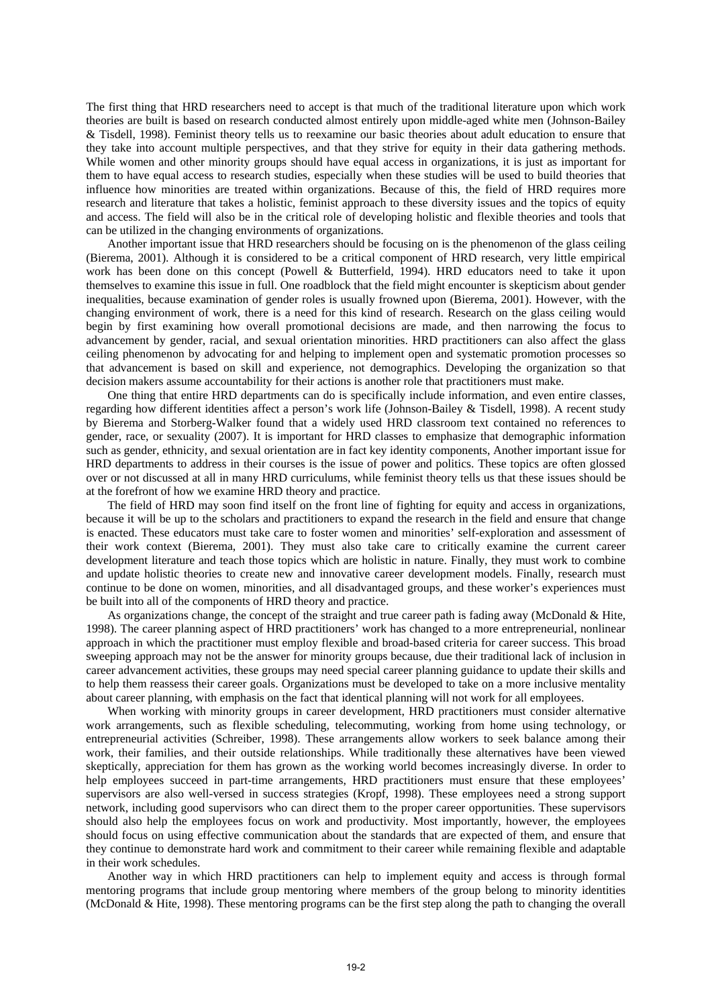The first thing that HRD researchers need to accept is that much of the traditional literature upon which work theories are built is based on research conducted almost entirely upon middle-aged white men (Johnson-Bailey & Tisdell, 1998). Feminist theory tells us to reexamine our basic theories about adult education to ensure that they take into account multiple perspectives, and that they strive for equity in their data gathering methods. While women and other minority groups should have equal access in organizations, it is just as important for them to have equal access to research studies, especially when these studies will be used to build theories that influence how minorities are treated within organizations. Because of this, the field of HRD requires more research and literature that takes a holistic, feminist approach to these diversity issues and the topics of equity and access. The field will also be in the critical role of developing holistic and flexible theories and tools that can be utilized in the changing environments of organizations.

Another important issue that HRD researchers should be focusing on is the phenomenon of the glass ceiling (Bierema, 2001). Although it is considered to be a critical component of HRD research, very little empirical work has been done on this concept (Powell & Butterfield, 1994). HRD educators need to take it upon themselves to examine this issue in full. One roadblock that the field might encounter is skepticism about gender inequalities, because examination of gender roles is usually frowned upon (Bierema, 2001). However, with the changing environment of work, there is a need for this kind of research. Research on the glass ceiling would begin by first examining how overall promotional decisions are made, and then narrowing the focus to advancement by gender, racial, and sexual orientation minorities. HRD practitioners can also affect the glass ceiling phenomenon by advocating for and helping to implement open and systematic promotion processes so that advancement is based on skill and experience, not demographics. Developing the organization so that decision makers assume accountability for their actions is another role that practitioners must make.

One thing that entire HRD departments can do is specifically include information, and even entire classes, regarding how different identities affect a person's work life (Johnson-Bailey & Tisdell, 1998). A recent study by Bierema and Storberg-Walker found that a widely used HRD classroom text contained no references to gender, race, or sexuality (2007). It is important for HRD classes to emphasize that demographic information such as gender, ethnicity, and sexual orientation are in fact key identity components, Another important issue for HRD departments to address in their courses is the issue of power and politics. These topics are often glossed over or not discussed at all in many HRD curriculums, while feminist theory tells us that these issues should be at the forefront of how we examine HRD theory and practice.

The field of HRD may soon find itself on the front line of fighting for equity and access in organizations, because it will be up to the scholars and practitioners to expand the research in the field and ensure that change is enacted. These educators must take care to foster women and minorities' self-exploration and assessment of their work context (Bierema, 2001). They must also take care to critically examine the current career development literature and teach those topics which are holistic in nature. Finally, they must work to combine and update holistic theories to create new and innovative career development models. Finally, research must continue to be done on women, minorities, and all disadvantaged groups, and these worker's experiences must be built into all of the components of HRD theory and practice.

As organizations change, the concept of the straight and true career path is fading away (McDonald & Hite, 1998). The career planning aspect of HRD practitioners' work has changed to a more entrepreneurial, nonlinear approach in which the practitioner must employ flexible and broad-based criteria for career success. This broad sweeping approach may not be the answer for minority groups because, due their traditional lack of inclusion in career advancement activities, these groups may need special career planning guidance to update their skills and to help them reassess their career goals. Organizations must be developed to take on a more inclusive mentality about career planning, with emphasis on the fact that identical planning will not work for all employees.

When working with minority groups in career development, HRD practitioners must consider alternative work arrangements, such as flexible scheduling, telecommuting, working from home using technology, or entrepreneurial activities (Schreiber, 1998). These arrangements allow workers to seek balance among their work, their families, and their outside relationships. While traditionally these alternatives have been viewed skeptically, appreciation for them has grown as the working world becomes increasingly diverse. In order to help employees succeed in part-time arrangements, HRD practitioners must ensure that these employees' supervisors are also well-versed in success strategies (Kropf, 1998). These employees need a strong support network, including good supervisors who can direct them to the proper career opportunities. These supervisors should also help the employees focus on work and productivity. Most importantly, however, the employees should focus on using effective communication about the standards that are expected of them, and ensure that they continue to demonstrate hard work and commitment to their career while remaining flexible and adaptable in their work schedules.

Another way in which HRD practitioners can help to implement equity and access is through formal mentoring programs that include group mentoring where members of the group belong to minority identities (McDonald & Hite, 1998). These mentoring programs can be the first step along the path to changing the overall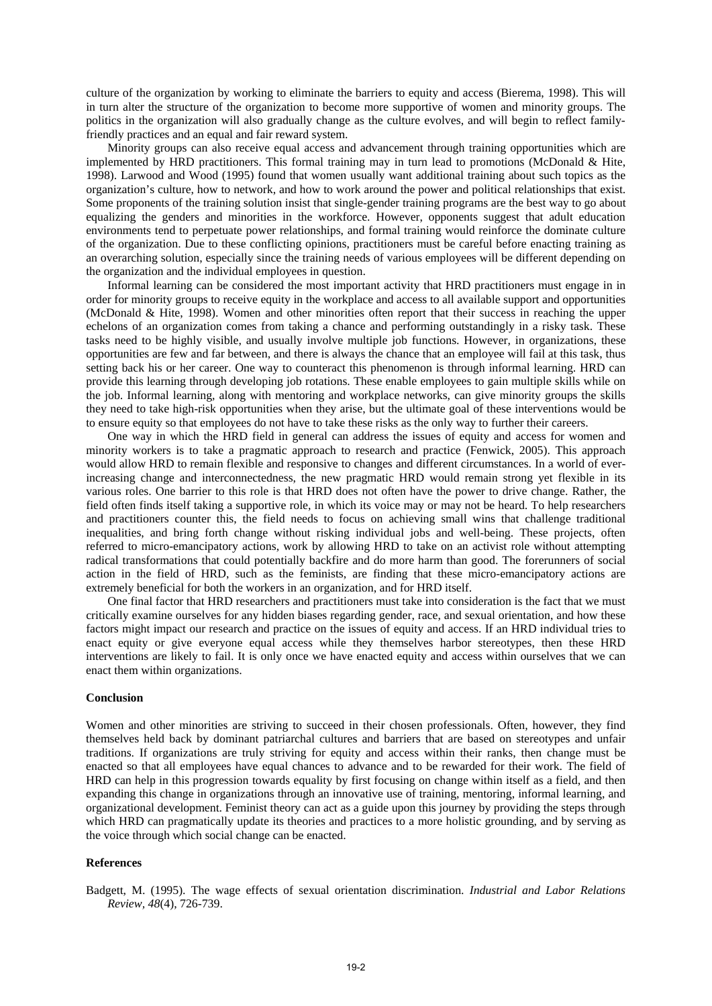culture of the organization by working to eliminate the barriers to equity and access (Bierema, 1998). This will in turn alter the structure of the organization to become more supportive of women and minority groups. The politics in the organization will also gradually change as the culture evolves, and will begin to reflect familyfriendly practices and an equal and fair reward system.

Minority groups can also receive equal access and advancement through training opportunities which are implemented by HRD practitioners. This formal training may in turn lead to promotions (McDonald & Hite, 1998). Larwood and Wood (1995) found that women usually want additional training about such topics as the organization's culture, how to network, and how to work around the power and political relationships that exist. Some proponents of the training solution insist that single-gender training programs are the best way to go about equalizing the genders and minorities in the workforce. However, opponents suggest that adult education environments tend to perpetuate power relationships, and formal training would reinforce the dominate culture of the organization. Due to these conflicting opinions, practitioners must be careful before enacting training as an overarching solution, especially since the training needs of various employees will be different depending on the organization and the individual employees in question.

Informal learning can be considered the most important activity that HRD practitioners must engage in in order for minority groups to receive equity in the workplace and access to all available support and opportunities (McDonald & Hite, 1998). Women and other minorities often report that their success in reaching the upper echelons of an organization comes from taking a chance and performing outstandingly in a risky task. These tasks need to be highly visible, and usually involve multiple job functions. However, in organizations, these opportunities are few and far between, and there is always the chance that an employee will fail at this task, thus setting back his or her career. One way to counteract this phenomenon is through informal learning. HRD can provide this learning through developing job rotations. These enable employees to gain multiple skills while on the job. Informal learning, along with mentoring and workplace networks, can give minority groups the skills they need to take high-risk opportunities when they arise, but the ultimate goal of these interventions would be to ensure equity so that employees do not have to take these risks as the only way to further their careers.

One way in which the HRD field in general can address the issues of equity and access for women and minority workers is to take a pragmatic approach to research and practice (Fenwick, 2005). This approach would allow HRD to remain flexible and responsive to changes and different circumstances. In a world of everincreasing change and interconnectedness, the new pragmatic HRD would remain strong yet flexible in its various roles. One barrier to this role is that HRD does not often have the power to drive change. Rather, the field often finds itself taking a supportive role, in which its voice may or may not be heard. To help researchers and practitioners counter this, the field needs to focus on achieving small wins that challenge traditional inequalities, and bring forth change without risking individual jobs and well-being. These projects, often referred to micro-emancipatory actions, work by allowing HRD to take on an activist role without attempting radical transformations that could potentially backfire and do more harm than good. The forerunners of social action in the field of HRD, such as the feminists, are finding that these micro-emancipatory actions are extremely beneficial for both the workers in an organization, and for HRD itself.

One final factor that HRD researchers and practitioners must take into consideration is the fact that we must critically examine ourselves for any hidden biases regarding gender, race, and sexual orientation, and how these factors might impact our research and practice on the issues of equity and access. If an HRD individual tries to enact equity or give everyone equal access while they themselves harbor stereotypes, then these HRD interventions are likely to fail. It is only once we have enacted equity and access within ourselves that we can enact them within organizations.

# **Conclusion**

Women and other minorities are striving to succeed in their chosen professionals. Often, however, they find themselves held back by dominant patriarchal cultures and barriers that are based on stereotypes and unfair traditions. If organizations are truly striving for equity and access within their ranks, then change must be enacted so that all employees have equal chances to advance and to be rewarded for their work. The field of HRD can help in this progression towards equality by first focusing on change within itself as a field, and then expanding this change in organizations through an innovative use of training, mentoring, informal learning, and organizational development. Feminist theory can act as a guide upon this journey by providing the steps through which HRD can pragmatically update its theories and practices to a more holistic grounding, and by serving as the voice through which social change can be enacted.

### **References**

Badgett, M. (1995). The wage effects of sexual orientation discrimination. *Industrial and Labor Relations Review, 48*(4), 726-739.